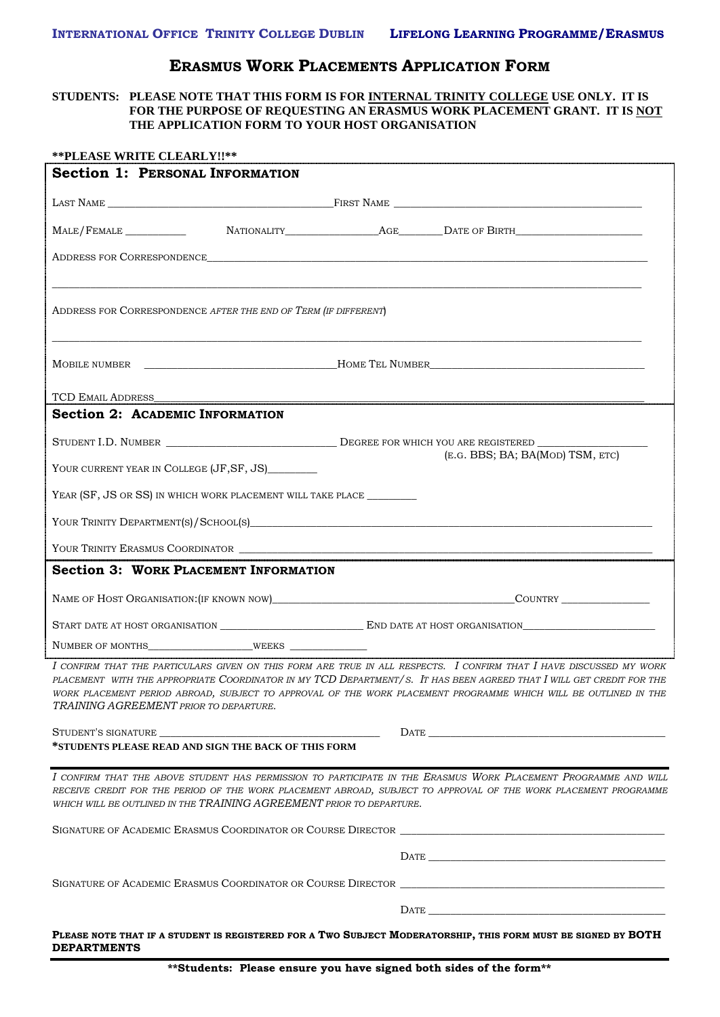## **ERASMUS WORK PLACEMENTS APPLICATION FORM**

## **STUDENTS: PLEASE NOTE THAT THIS FORM IS FOR INTERNAL TRINITY COLLEGE USE ONLY. IT IS FOR THE PURPOSE OF REQUESTING AN ERASMUS WORK PLACEMENT GRANT. IT IS NOT THE APPLICATION FORM TO YOUR HOST ORGANISATION**

| **PLEASE WRITE CLEARLY!!**                                             |  |                                  |                                                                                                                                                                                                                                                                                                                                                                                                                                                                                                                                                            |  |
|------------------------------------------------------------------------|--|----------------------------------|------------------------------------------------------------------------------------------------------------------------------------------------------------------------------------------------------------------------------------------------------------------------------------------------------------------------------------------------------------------------------------------------------------------------------------------------------------------------------------------------------------------------------------------------------------|--|
| <b>Section 1: PERSONAL INFORMATION</b>                                 |  |                                  |                                                                                                                                                                                                                                                                                                                                                                                                                                                                                                                                                            |  |
|                                                                        |  |                                  |                                                                                                                                                                                                                                                                                                                                                                                                                                                                                                                                                            |  |
|                                                                        |  |                                  |                                                                                                                                                                                                                                                                                                                                                                                                                                                                                                                                                            |  |
|                                                                        |  |                                  | ADDRESS FOR CORRESPONDENCE                                                                                                                                                                                                                                                                                                                                                                                                                                                                                                                                 |  |
| ADDRESS FOR CORRESPONDENCE AFTER THE END OF TERM (IF DIFFERENT)        |  |                                  |                                                                                                                                                                                                                                                                                                                                                                                                                                                                                                                                                            |  |
|                                                                        |  |                                  |                                                                                                                                                                                                                                                                                                                                                                                                                                                                                                                                                            |  |
|                                                                        |  |                                  | TCD EMAIL ADDRESS CONFIDENTIAL CONTINUES CONTINUES AND A SECOND AND THE CONTINUES OF A SECOND OF THE CONTINUES OF A SECOND OF THE CONTINUES OF THE CONTINUES OF THE CONTINUES OF THE CONTINUES OF THE CONTINUES OF THE CONTINU                                                                                                                                                                                                                                                                                                                             |  |
| <b>Section 2: ACADEMIC INFORMATION</b>                                 |  |                                  |                                                                                                                                                                                                                                                                                                                                                                                                                                                                                                                                                            |  |
|                                                                        |  |                                  |                                                                                                                                                                                                                                                                                                                                                                                                                                                                                                                                                            |  |
| YOUR CURRENT YEAR IN COLLEGE (JF, SF, JS)                              |  | (E.G. BBS; BA; BA(MOD) TSM, ETC) |                                                                                                                                                                                                                                                                                                                                                                                                                                                                                                                                                            |  |
| YEAR (SF, JS OR SS) IN WHICH WORK PLACEMENT WILL TAKE PLACE __________ |  |                                  |                                                                                                                                                                                                                                                                                                                                                                                                                                                                                                                                                            |  |
|                                                                        |  |                                  |                                                                                                                                                                                                                                                                                                                                                                                                                                                                                                                                                            |  |
|                                                                        |  |                                  | YOUR TRINITY ERASMUS COORDINATOR                                                                                                                                                                                                                                                                                                                                                                                                                                                                                                                           |  |
| <b>Section 3: WORK PLACEMENT INFORMATION</b>                           |  |                                  |                                                                                                                                                                                                                                                                                                                                                                                                                                                                                                                                                            |  |
|                                                                        |  |                                  |                                                                                                                                                                                                                                                                                                                                                                                                                                                                                                                                                            |  |
|                                                                        |  |                                  |                                                                                                                                                                                                                                                                                                                                                                                                                                                                                                                                                            |  |
|                                                                        |  |                                  |                                                                                                                                                                                                                                                                                                                                                                                                                                                                                                                                                            |  |
| TRAINING AGREEMENT PRIOR TO DEPARTURE.                                 |  |                                  | I CONFIRM THAT THE PARTICULARS GIVEN ON THIS FORM ARE TRUE IN ALL RESPECTS. I CONFIRM THAT I HAVE DISCUSSED MY WORK<br>PLACEMENT WITH THE APPROPRIATE COORDINATOR IN MY TCD DEPARTMENT/S. IT HAS BEEN AGREED THAT I WILL GET CREDIT FOR THE<br>WORK PLACEMENT PERIOD ABROAD, SUBJECT TO APPROVAL OF THE WORK PLACEMENT PROGRAMME WHICH WILL BE OUTLINED IN THE                                                                                                                                                                                             |  |
|                                                                        |  |                                  | $\textbf{DATE} \textcolor{red}{\overbrace{\text{I-1}}\textcolor{red}{\overbrace{\text{I-2}}\textcolor{blue}{\overbrace{\text{I-3}}\textcolor{blue}{\overbrace{\text{I-4}}\textcolor{blue}{\overbrace{\text{I-5}}}}\textcolor{blue}{\overbrace{\text{I-6}}\textcolor{blue}{\overbrace{\text{I-7}}\textcolor{blue}{\overbrace{\text{I-1}}\textcolor{blue}{\overbrace{\text{I-1}}\textcolor{blue}{\overbrace{\text{I-1}}\textcolor{blue}{\overbrace{\text{I-1}}\textcolor{blue}{\overbrace{\text{I-1}}\textcolor{blue}{\overbrace{\text{I-1}}\textcolor{blue$ |  |
| *STUDENTS PLEASE READ AND SIGN THE BACK OF THIS FORM                   |  |                                  |                                                                                                                                                                                                                                                                                                                                                                                                                                                                                                                                                            |  |
| WHICH WILL BE OUTLINED IN THE TRAINING AGREEMENT PRIOR TO DEPARTURE.   |  |                                  | I CONFIRM THAT THE ABOVE STUDENT HAS PERMISSION TO PARTICIPATE IN THE ERASMUS WORK PLACEMENT PROGRAMME AND WILL<br>RECEIVE CREDIT FOR THE PERIOD OF THE WORK PLACEMENT ABROAD, SUBJECT TO APPROVAL OF THE WORK PLACEMENT PROGRAMME                                                                                                                                                                                                                                                                                                                         |  |
|                                                                        |  |                                  |                                                                                                                                                                                                                                                                                                                                                                                                                                                                                                                                                            |  |
|                                                                        |  |                                  |                                                                                                                                                                                                                                                                                                                                                                                                                                                                                                                                                            |  |
|                                                                        |  |                                  |                                                                                                                                                                                                                                                                                                                                                                                                                                                                                                                                                            |  |
|                                                                        |  |                                  |                                                                                                                                                                                                                                                                                                                                                                                                                                                                                                                                                            |  |
| <b>DEPARTMENTS</b>                                                     |  |                                  | PLEASE NOTE THAT IF A STUDENT IS REGISTERED FOR A TWO SUBJECT MODERATORSHIP, THIS FORM MUST BE SIGNED BY BOTH                                                                                                                                                                                                                                                                                                                                                                                                                                              |  |